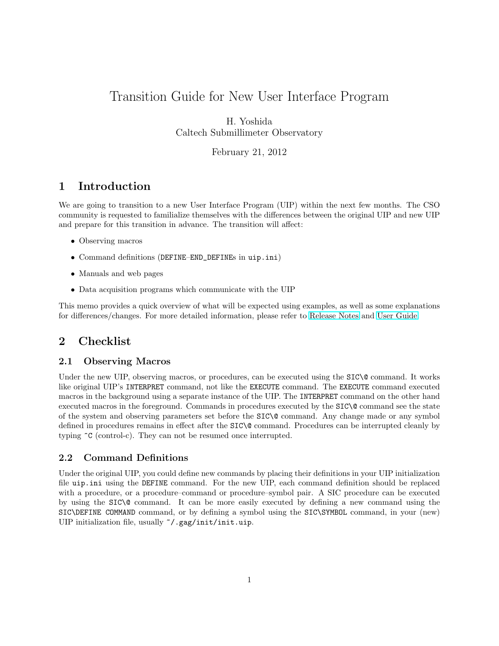# <span id="page-0-0"></span>Transition Guide for New User Interface Program

H. Yoshida Caltech Submillimeter Observatory

February 21, 2012

## 1 Introduction

We are going to transition to a new User Interface Program (UIP) within the next few months. The CSO community is requested to familialize themselves with the differences between the original UIP and new UIP and prepare for this transition in advance. The transition will affect:

- Observing macros
- Command definitions (DEFINE–END\_DEFINEs in uip.ini)
- Manuals and web pages
- Data acquisition programs which communicate with the UIP

This memo provides a quick overview of what will be expected using examples, as well as some explanations for differences/changes. For more detailed information, please refer to [Release Notes](file:Release_Notes.html) and [User Guide.](file:User_Guide.html)

## 2 Checklist

### 2.1 Observing Macros

Under the new UIP, observing macros, or procedures, can be executed using the SIC\@ command. It works like original UIP's INTERPRET command, not like the EXECUTE command. The EXECUTE command executed macros in the background using a separate instance of the UIP. The INTERPRET command on the other hand executed macros in the foreground. Commands in procedures executed by the SIC\@ command see the state of the system and observing parameters set before the SIC\@ command. Any change made or any symbol defined in procedures remains in effect after the SIC\@ command. Procedures can be interrupted cleanly by typing  $\infty$  (control-c). They can not be resumed once interrupted.

### 2.2 Command Definitions

Under the original UIP, you could define new commands by placing their definitions in your UIP initialization file uip.ini using the DEFINE command. For the new UIP, each command definition should be replaced with a procedure, or a procedure–command or procedure–symbol pair. A SIC procedure can be executed by using the SIC\@ command. It can be more easily executed by defining a new command using the SIC\DEFINE COMMAND command, or by defining a symbol using the SIC\SYMBOL command, in your (new) UIP initialization file, usually  $\gamma$ .gag/init/init.uip.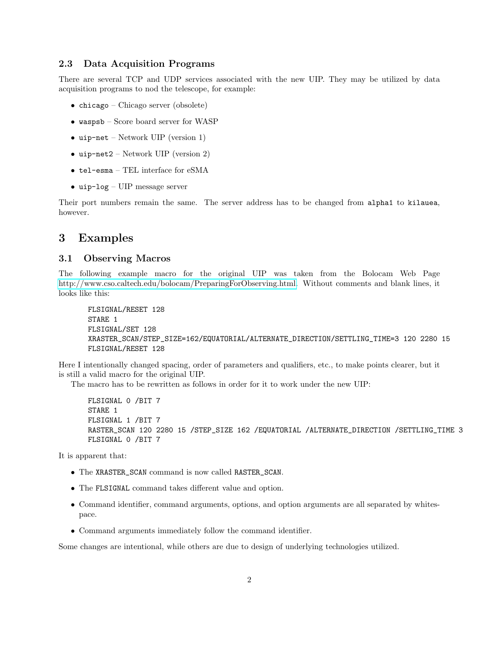#### 2.3 Data Acquisition Programs

There are several TCP and UDP services associated with the new UIP. They may be utilized by data acquisition programs to nod the telescope, for example:

- chicago Chicago server (obsolete)
- waspsb Score board server for WASP
- uip-net Network UIP (version 1)
- uip-net2 Network UIP (version 2)
- tel-esma TEL interface for eSMA
- uip-log UIP message server

Their port numbers remain the same. The server address has to be changed from alpha1 to kilauea, however.

## 3 Examples

### 3.1 Observing Macros

The following example macro for the original UIP was taken from the Bolocam Web Page [http://www.cso.caltech.edu/bolocam/PreparingForObserving.html.](http://www.cso.caltech.edu/bolocam/PreparingForObserving.html) Without comments and blank lines, it looks like this:

```
FLSIGNAL/RESET 128
STARE 1
FLSIGNAL/SET 128
XRASTER_SCAN/STEP_SIZE=162/EQUATORIAL/ALTERNATE_DIRECTION/SETTLING_TIME=3 120 2280 15
FLSIGNAL/RESET 128
```
Here I intentionally changed spacing, order of parameters and qualifiers, etc., to make points clearer, but it is still a valid macro for the original UIP.

The macro has to be rewritten as follows in order for it to work under the new UIP:

FLSIGNAL 0 /BIT 7 STARE 1 FLSIGNAL 1 /BIT 7 RASTER\_SCAN 120 2280 15 /STEP\_SIZE 162 /EQUATORIAL /ALTERNATE\_DIRECTION /SETTLING\_TIME 3 FLSIGNAL 0 /BIT 7

It is apparent that:

- The XRASTER\_SCAN command is now called RASTER\_SCAN.
- The FLSIGNAL command takes different value and option.
- Command identifier, command arguments, options, and option arguments are all separated by whitespace.
- Command arguments immediately follow the command identifier.

Some changes are intentional, while others are due to design of underlying technologies utilized.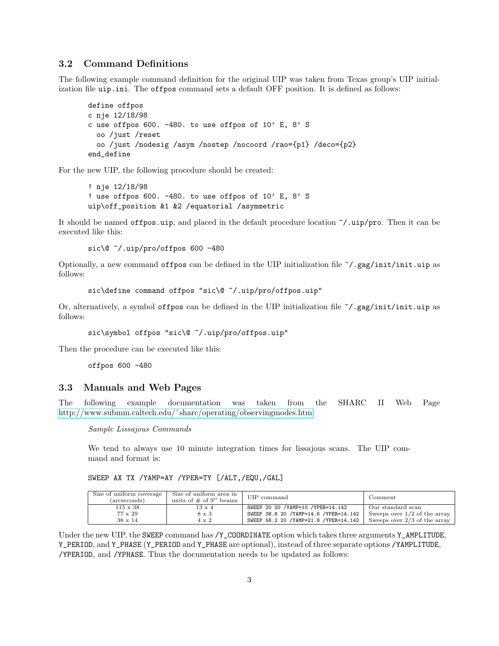#### 3.2 Command Definitions

The following example command definition for the original UIP was taken from Texas group's UIP initialization file uip.ini. The offpos command sets a default OFF position. It is defined as follows:

```
define offpos
c nje 12/18/98
c use offpos 600. -480. to use offpos of 10' E, 8' S
  oo /just /reset
  oo /just /nodesig /asym /nostep /nocoord /rao={p1} /deco={p2}
end_define
```
For the new UIP, the following procedure should be created:

```
! nje 12/18/98
! use offpos 600. -480. to use offpos of 10' E, 8' S
uip\off_position &1 &2 /equatorial /asymmetric
```
It should be named offpos.uip, and placed in the default procedure location ~/.uip/pro. Then it can be executed like this:

sic\@ ~/.uip/pro/offpos 600 -480

Optionally, a new command offpos can be defined in the UIP initialization file ~/.gag/init/init.uip as follows:

```
sic\define command offpos "sic\@ ~/.uip/pro/offpos.uip"
```
Or, alternatively, a symbol offpos can be defined in the UIP initialization file  $\gamma$ .gag/init/init.uip as follows:

sic\symbol offpos "sic\@ ~/.uip/pro/offpos.uip"

Then the procedure can be executed like this:

offpos 600 -480

### 3.3 Manuals and Web Pages

The following example documentation was taken from the SHARC II Web Page [http://www.submm.caltech.edu/˜sharc/operating/observingmodes.htm:](http://www.submm.caltech.edu/~sharc/operating/observingmodes.htm)

Sample Lissajous Commands

We tend to always use 10 minute integration times for lissajous scans. The UIP command and format is:

SWEEP AX TX /YAMP=AY /YPER=TY [/ALT,/EQU,/GAL]

| Size of uniform coverage<br>(arcseconds) | Size of uniform area in<br>units of $\#$ of 9'' beams | UIP command                             | Comment                        |
|------------------------------------------|-------------------------------------------------------|-----------------------------------------|--------------------------------|
| $115 \times 38$                          | $13 \times 4$                                         | SWEEP 20 20 / YAMP=10 / YPER=14.142     | Our standard scan              |
| $77 \times 29$                           | $8 \times 3$                                          | SWEEP 38.8 20 / YAMP=14.6 / YPER=14.142 | Sweeps over $1/2$ of the array |
| $38 \times 14$                           | $4 \times 2$                                          | SWEEP 58.2 20 / YAMP=21.8 / YPER=14.142 | Sweeps over $2/3$ of the array |

Under the new UIP, the SWEEP command has  $/Y$ <sub>-</sub>COORDINATE option which takes three arguments Y<sub>-</sub>AMPLITUDE, Y\_PERIOD, and Y\_PHASE (Y\_PERIOD and Y\_PHASE are optional), instead of three separate options /YAMPLITUDE, /YPERIOD, and /YPHASE. Thus the documentation needs to be updated as follows: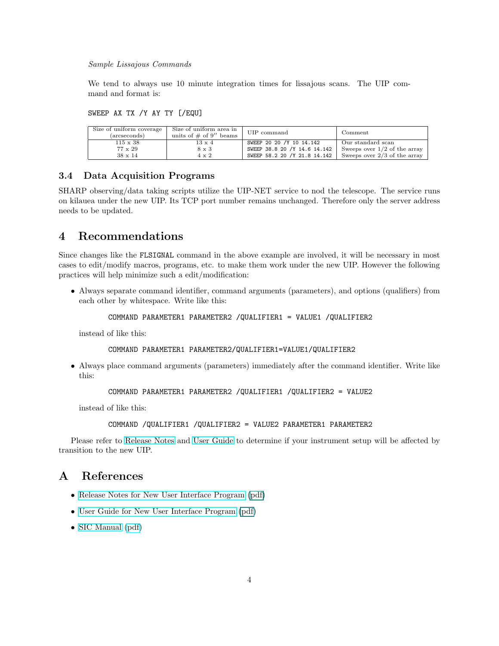#### Sample Lissajous Commands

We tend to always use 10 minute integration times for lissajous scans. The UIP command and format is:

SWEEP AX TX /Y AY TY [/EQU]

| Size of uniform coverage<br>(arcseconds) | Size of uniform area in<br>units of $\#$ of 9'' beams | UIP command                  | Comment                        |
|------------------------------------------|-------------------------------------------------------|------------------------------|--------------------------------|
| $115 \times 38$                          | $13 \times 4$                                         | SWEEP 20 20 /Y 10 14.142     | Our standard scan              |
| $77 \times 29$                           | $8 \times 3$                                          | SWEEP 38.8 20 /Y 14.6 14.142 | Sweeps over $1/2$ of the array |
| $38 \times 14$                           | $4 \times 2$                                          | SWEEP 58.2 20 /Y 21.8 14.142 | Sweeps over $2/3$ of the array |

#### 3.4 Data Acquisition Programs

SHARP observing/data taking scripts utilize the UIP-NET service to nod the telescope. The service runs on kilauea under the new UIP. Its TCP port number remains unchanged. Therefore only the server address needs to be updated.

## 4 Recommendations

Since changes like the FLSIGNAL command in the above example are involved, it will be necessary in most cases to edit/modify macros, programs, etc. to make them work under the new UIP. However the following practices will help minimize such a edit/modification:

• Always separate command identifier, command arguments (parameters), and options (qualifiers) from each other by whitespace. Write like this:

```
COMMAND PARAMETER1 PARAMETER2 /QUALIFIER1 = VALUE1 /QUALIFIER2
```
instead of like this:

#### COMMAND PARAMETER1 PARAMETER2/QUALIFIER1=VALUE1/QUALIFIER2

• Always place command arguments (parameters) immediately after the command identifier. Write like this:

```
COMMAND PARAMETER1 PARAMETER2 /QUALIFIER1 /QUALIFIER2 = VALUE2
```
instead of like this:

#### COMMAND /QUALIFIER1 /QUALIFIER2 = VALUE2 PARAMETER1 PARAMETER2

Please refer to [Release Notes](file:Release_Notes.html) and [User Guide](file:User_Guide.html) to determine if your instrument setup will be affected by transition to the new UIP.

## A References

- [Release Notes for New User Interface Program](file:Release_Notes.html) [\(pdf\)](#page-0-0)
- [User Guide for New User Interface Program](file:User_Guide.html) [\(pdf\)](#page-0-0)
- [SIC Manual](http://www.iram.fr/IRAMFR/GILDAS/doc/html/sic-html/sic.html) [\(pdf\)](http://www.iram.fr/IRAMFR/GILDAS/doc/pdf/sic.pdf)